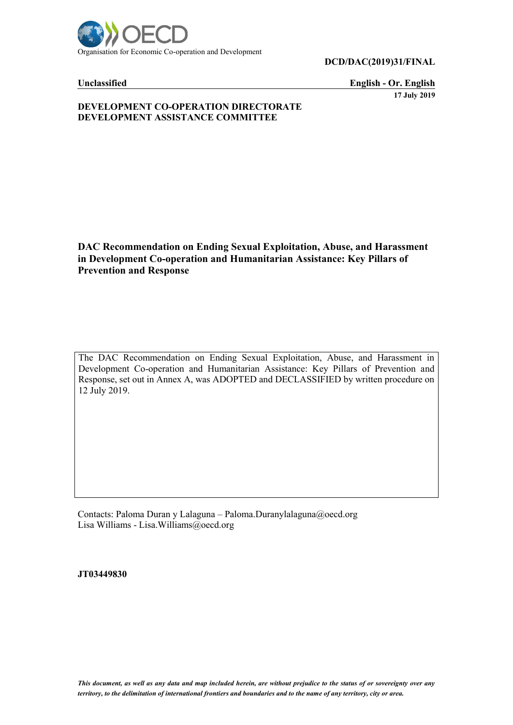

**DCD/DAC(2019)31/FINAL**

**Unclassified English - Or. English 17 July 2019**

#### **DEVELOPMENT CO-OPERATION DIRECTORATE DEVELOPMENT ASSISTANCE COMMITTEE**

### **DAC Recommendation on Ending Sexual Exploitation, Abuse, and Harassment in Development Co-operation and Humanitarian Assistance: Key Pillars of Prevention and Response**

The DAC Recommendation on Ending Sexual Exploitation, Abuse, and Harassment in Development Co-operation and Humanitarian Assistance: Key Pillars of Prevention and Response, set out in Annex A, was ADOPTED and DECLASSIFIED by written procedure on 12 July 2019.

Contacts: Paloma Duran y Lalaguna – Paloma.Duranylalaguna@oecd.org Lisa Williams - Lisa.Williams@oecd.org

**JT03449830**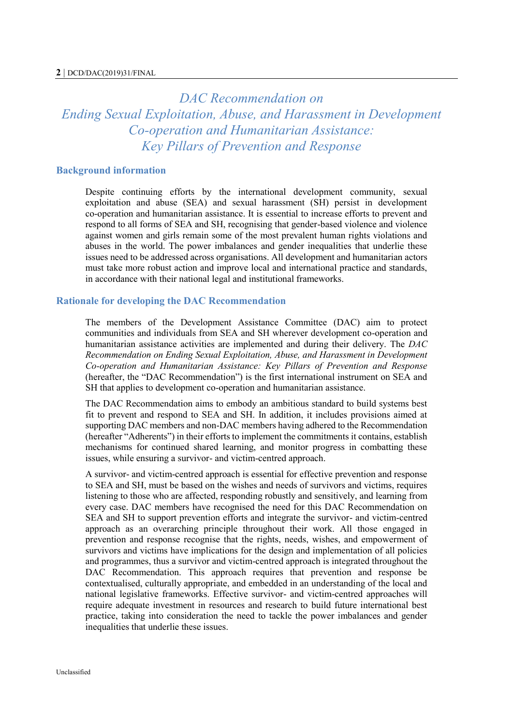# *DAC Recommendation on Ending Sexual Exploitation, Abuse, and Harassment in Development Co-operation and Humanitarian Assistance: Key Pillars of Prevention and Response*

#### **Background information**

Despite continuing efforts by the international development community, sexual exploitation and abuse (SEA) and sexual harassment (SH) persist in development co-operation and humanitarian assistance. It is essential to increase efforts to prevent and respond to all forms of SEA and SH, recognising that gender-based violence and violence against women and girls remain some of the most prevalent human rights violations and abuses in the world. The power imbalances and gender inequalities that underlie these issues need to be addressed across organisations. All development and humanitarian actors must take more robust action and improve local and international practice and standards, in accordance with their national legal and institutional frameworks.

#### **Rationale for developing the DAC Recommendation**

The members of the Development Assistance Committee (DAC) aim to protect communities and individuals from SEA and SH wherever development co-operation and humanitarian assistance activities are implemented and during their delivery. The *DAC Recommendation on Ending Sexual Exploitation, Abuse, and Harassment in Development Co-operation and Humanitarian Assistance: Key Pillars of Prevention and Response* (hereafter, the "DAC Recommendation") is the first international instrument on SEA and SH that applies to development co-operation and humanitarian assistance.

The DAC Recommendation aims to embody an ambitious standard to build systems best fit to prevent and respond to SEA and SH. In addition, it includes provisions aimed at supporting DAC members and non-DAC members having adhered to the Recommendation (hereafter "Adherents") in their efforts to implement the commitments it contains, establish mechanisms for continued shared learning, and monitor progress in combatting these issues, while ensuring a survivor- and victim-centred approach.

A survivor- and victim-centred approach is essential for effective prevention and response to SEA and SH, must be based on the wishes and needs of survivors and victims, requires listening to those who are affected, responding robustly and sensitively, and learning from every case. DAC members have recognised the need for this DAC Recommendation on SEA and SH to support prevention efforts and integrate the survivor- and victim-centred approach as an overarching principle throughout their work. All those engaged in prevention and response recognise that the rights, needs, wishes, and empowerment of survivors and victims have implications for the design and implementation of all policies and programmes, thus a survivor and victim-centred approach is integrated throughout the DAC Recommendation. This approach requires that prevention and response be contextualised, culturally appropriate, and embedded in an understanding of the local and national legislative frameworks. Effective survivor- and victim-centred approaches will require adequate investment in resources and research to build future international best practice, taking into consideration the need to tackle the power imbalances and gender inequalities that underlie these issues.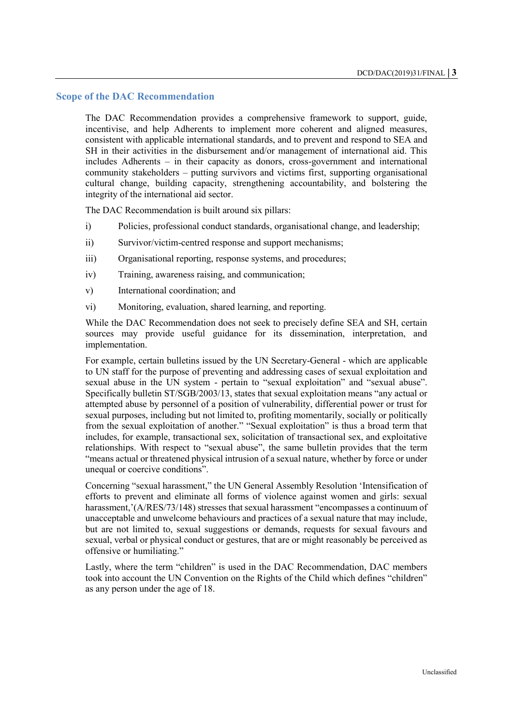#### **Scope of the DAC Recommendation**

The DAC Recommendation provides a comprehensive framework to support, guide, incentivise, and help Adherents to implement more coherent and aligned measures, consistent with applicable international standards, and to prevent and respond to SEA and SH in their activities in the disbursement and/or management of international aid. This includes Adherents – in their capacity as donors, cross-government and international community stakeholders – putting survivors and victims first, supporting organisational cultural change, building capacity, strengthening accountability, and bolstering the integrity of the international aid sector.

The DAC Recommendation is built around six pillars:

- i) Policies, professional conduct standards, organisational change, and leadership;
- ii) Survivor/victim-centred response and support mechanisms;
- iii) Organisational reporting, response systems, and procedures;
- iv) Training, awareness raising, and communication;
- v) International coordination; and
- vi) Monitoring, evaluation, shared learning, and reporting.

While the DAC Recommendation does not seek to precisely define SEA and SH, certain sources may provide useful guidance for its dissemination, interpretation, and implementation.

For example, certain bulletins issued by the UN Secretary-General - which are applicable to UN staff for the purpose of preventing and addressing cases of sexual exploitation and sexual abuse in the UN system - pertain to "sexual exploitation" and "sexual abuse". Specifically bulletin ST/SGB/2003/13, states that sexual exploitation means "any actual or attempted abuse by personnel of a position of vulnerability, differential power or trust for sexual purposes, including but not limited to, profiting momentarily, socially or politically from the sexual exploitation of another." "Sexual exploitation" is thus a broad term that includes, for example, transactional sex, solicitation of transactional sex, and exploitative relationships. With respect to "sexual abuse", the same bulletin provides that the term "means actual or threatened physical intrusion of a sexual nature, whether by force or under unequal or coercive conditions".

Concerning "sexual harassment," the UN General Assembly Resolution 'Intensification of efforts to prevent and eliminate all forms of violence against women and girls: sexual harassment,'(A/RES/73/148) stresses that sexual harassment "encompasses a continuum of unacceptable and unwelcome behaviours and practices of a sexual nature that may include, but are not limited to, sexual suggestions or demands, requests for sexual favours and sexual, verbal or physical conduct or gestures, that are or might reasonably be perceived as offensive or humiliating."

Lastly, where the term "children" is used in the DAC Recommendation, DAC members took into account the UN Convention on the Rights of the Child which defines "children" as any person under the age of 18.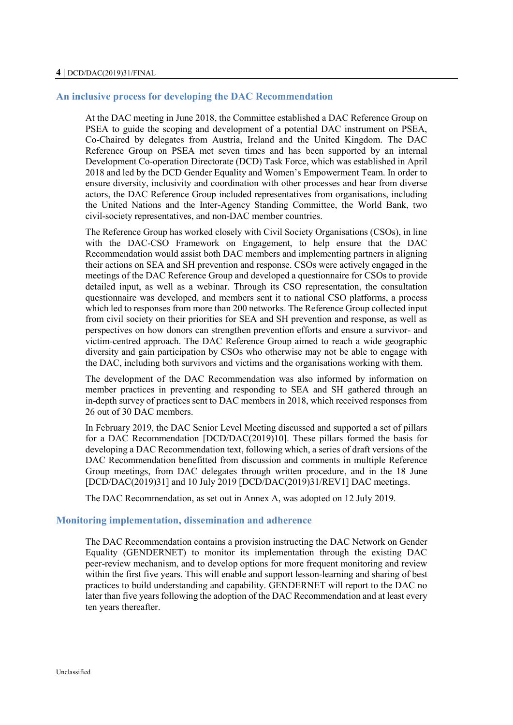#### **An inclusive process for developing the DAC Recommendation**

At the DAC meeting in June 2018, the Committee established a DAC Reference Group on PSEA to guide the scoping and development of a potential DAC instrument on PSEA, Co-Chaired by delegates from Austria, Ireland and the United Kingdom. The DAC Reference Group on PSEA met seven times and has been supported by an internal Development Co-operation Directorate (DCD) Task Force, which was established in April 2018 and led by the DCD Gender Equality and Women's Empowerment Team. In order to ensure diversity, inclusivity and coordination with other processes and hear from diverse actors, the DAC Reference Group included representatives from organisations, including the United Nations and the Inter-Agency Standing Committee, the World Bank, two civil-society representatives, and non-DAC member countries.

The Reference Group has worked closely with Civil Society Organisations (CSOs), in line with the DAC-CSO Framework on Engagement, to help ensure that the DAC Recommendation would assist both DAC members and implementing partners in aligning their actions on SEA and SH prevention and response. CSOs were actively engaged in the meetings of the DAC Reference Group and developed a questionnaire for CSOs to provide detailed input, as well as a webinar. Through its CSO representation, the consultation questionnaire was developed, and members sent it to national CSO platforms, a process which led to responses from more than 200 networks. The Reference Group collected input from civil society on their priorities for SEA and SH prevention and response, as well as perspectives on how donors can strengthen prevention efforts and ensure a survivor- and victim-centred approach. The DAC Reference Group aimed to reach a wide geographic diversity and gain participation by CSOs who otherwise may not be able to engage with the DAC, including both survivors and victims and the organisations working with them.

The development of the DAC Recommendation was also informed by information on member practices in preventing and responding to SEA and SH gathered through an in-depth survey of practices sent to DAC members in 2018, which received responses from 26 out of 30 DAC members.

In February 2019, the DAC Senior Level Meeting discussed and supported a set of pillars for a DAC Recommendation [DCD/DAC(2019)10]. These pillars formed the basis for developing a DAC Recommendation text, following which, a series of draft versions of the DAC Recommendation benefitted from discussion and comments in multiple Reference Group meetings, from DAC delegates through written procedure, and in the 18 June [DCD/DAC(2019)31] and 10 July 2019 [DCD/DAC(2019)31/REV1] DAC meetings.

The DAC Recommendation, as set out in Annex A, was adopted on 12 July 2019.

#### **Monitoring implementation, dissemination and adherence**

The DAC Recommendation contains a provision instructing the DAC Network on Gender Equality (GENDERNET) to monitor its implementation through the existing DAC peer-review mechanism, and to develop options for more frequent monitoring and review within the first five years. This will enable and support lesson-learning and sharing of best practices to build understanding and capability. GENDERNET will report to the DAC no later than five years following the adoption of the DAC Recommendation and at least every ten years thereafter.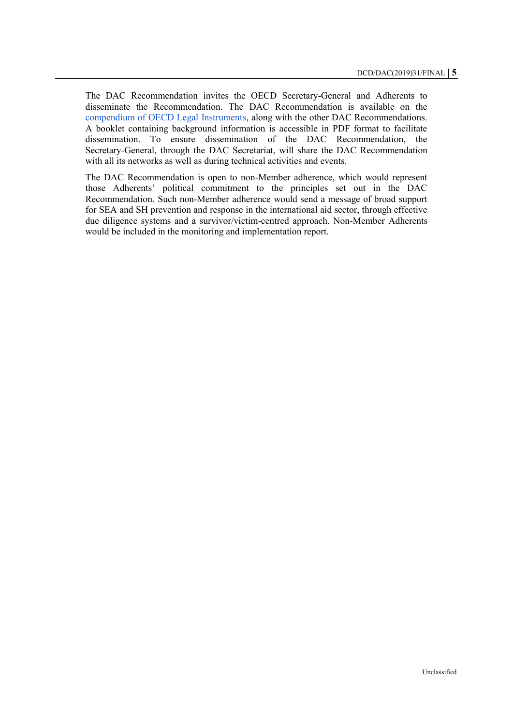The DAC Recommendation invites the OECD Secretary-General and Adherents to disseminate the Recommendation. The DAC Recommendation is available on the [compendium of OECD Legal Instruments,](https://legalinstruments.oecd.org/en/instruments/OECD-LEGAL-5020) along with the other DAC Recommendations. A booklet containing background information is accessible in PDF format to facilitate dissemination. To ensure dissemination of the DAC Recommendation, the Secretary-General, through the DAC Secretariat, will share the DAC Recommendation with all its networks as well as during technical activities and events.

The DAC Recommendation is open to non-Member adherence, which would represent those Adherents' political commitment to the principles set out in the DAC Recommendation. Such non-Member adherence would send a message of broad support for SEA and SH prevention and response in the international aid sector, through effective due diligence systems and a survivor/victim-centred approach. Non-Member Adherents would be included in the monitoring and implementation report.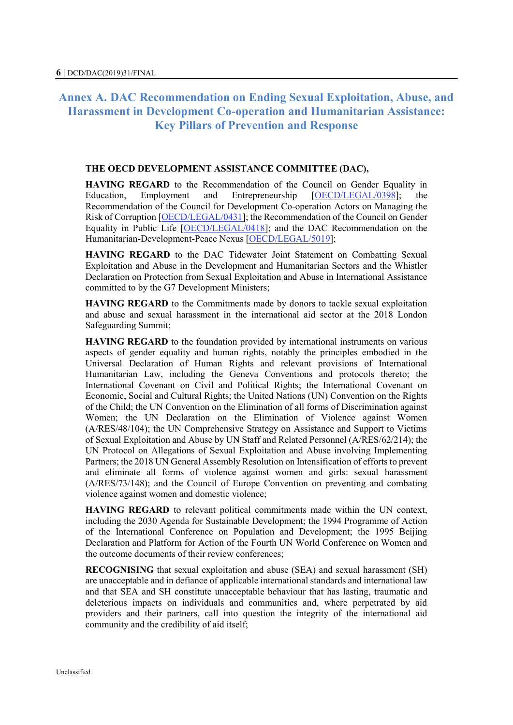## **Annex A. DAC Recommendation on Ending Sexual Exploitation, Abuse, and Harassment in Development Co-operation and Humanitarian Assistance: Key Pillars of Prevention and Response**

#### **THE OECD DEVELOPMENT ASSISTANCE COMMITTEE (DAC),**

**HAVING REGARD** to the Recommendation of the Council on Gender Equality in Education, Employment and Entrepreneurship [\[OECD/LEGAL/0398\]](https://legalinstruments.oecd.org/en/instruments/OECD-LEGAL-0398); the Recommendation of the Council for Development Co-operation Actors on Managing the Risk of Corruption [\[OECD/LEGAL/0431\]](https://legalinstruments.oecd.org/en/instruments/OECD-LEGAL-0431); the Recommendation of the Council on Gender Equality in Public Life [\[OECD/LEGAL/0418\]](https://legalinstruments.oecd.org/en/instruments/OECD-LEGAL-0418); and the DAC Recommendation on the Humanitarian-Development-Peace Nexus [\[OECD/LEGAL/5019\]](https://legalinstruments.oecd.org/en/instruments/OECD-LEGAL-5019);

**HAVING REGARD** to the DAC Tidewater Joint Statement on Combatting Sexual Exploitation and Abuse in the Development and Humanitarian Sectors and the Whistler Declaration on Protection from Sexual Exploitation and Abuse in International Assistance committed to by the G7 Development Ministers;

**HAVING REGARD** to the Commitments made by donors to tackle sexual exploitation and abuse and sexual harassment in the international aid sector at the 2018 London Safeguarding Summit;

**HAVING REGARD** to the foundation provided by international instruments on various aspects of gender equality and human rights, notably the principles embodied in the Universal Declaration of Human Rights and relevant provisions of International Humanitarian Law, including the Geneva Conventions and protocols thereto; the International Covenant on Civil and Political Rights; the International Covenant on Economic, Social and Cultural Rights; the United Nations (UN) Convention on the Rights of the Child; the UN Convention on the Elimination of all forms of Discrimination against Women; the UN Declaration on the Elimination of Violence against Women (A/RES/48/104); the UN Comprehensive Strategy on Assistance and Support to Victims of Sexual Exploitation and Abuse by UN Staff and Related Personnel (A/RES/62/214); the UN Protocol on Allegations of Sexual Exploitation and Abuse involving Implementing Partners; the 2018 UN General Assembly Resolution on Intensification of efforts to prevent and eliminate all forms of violence against women and girls: sexual harassment (A/RES/73/148); and the Council of Europe Convention on preventing and combating violence against women and domestic violence;

**HAVING REGARD** to relevant political commitments made within the UN context, including the 2030 Agenda for Sustainable Development; the 1994 Programme of Action of the International Conference on Population and Development; the 1995 Beijing Declaration and Platform for Action of the Fourth UN World Conference on Women and the outcome documents of their review conferences;

**RECOGNISING** that sexual exploitation and abuse (SEA) and sexual harassment (SH) are unacceptable and in defiance of applicable international standards and international law and that SEA and SH constitute unacceptable behaviour that has lasting, traumatic and deleterious impacts on individuals and communities and, where perpetrated by aid providers and their partners, call into question the integrity of the international aid community and the credibility of aid itself;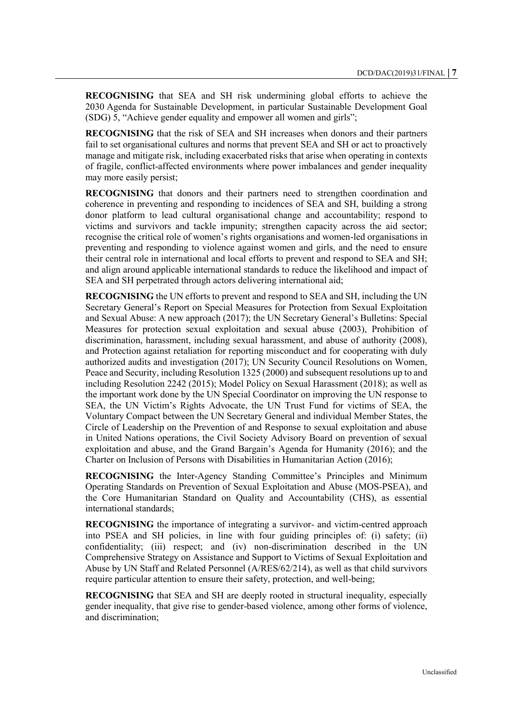**RECOGNISING** that SEA and SH risk undermining global efforts to achieve the 2030 Agenda for Sustainable Development, in particular Sustainable Development Goal (SDG) 5, "Achieve gender equality and empower all women and girls";

**RECOGNISING** that the risk of SEA and SH increases when donors and their partners fail to set organisational cultures and norms that prevent SEA and SH or act to proactively manage and mitigate risk, including exacerbated risks that arise when operating in contexts of fragile, conflict-affected environments where power imbalances and gender inequality may more easily persist;

**RECOGNISING** that donors and their partners need to strengthen coordination and coherence in preventing and responding to incidences of SEA and SH, building a strong donor platform to lead cultural organisational change and accountability; respond to victims and survivors and tackle impunity; strengthen capacity across the aid sector; recognise the critical role of women's rights organisations and women-led organisations in preventing and responding to violence against women and girls, and the need to ensure their central role in international and local efforts to prevent and respond to SEA and SH; and align around applicable international standards to reduce the likelihood and impact of SEA and SH perpetrated through actors delivering international aid;

**RECOGNISING** the UN efforts to prevent and respond to SEA and SH, including the UN Secretary General's Report on Special Measures for Protection from Sexual Exploitation and Sexual Abuse: A new approach (2017); the UN Secretary General's Bulletins: Special Measures for protection sexual exploitation and sexual abuse (2003), Prohibition of discrimination, harassment, including sexual harassment, and abuse of authority (2008), and Protection against retaliation for reporting misconduct and for cooperating with duly authorized audits and investigation (2017); UN Security Council Resolutions on Women, Peace and Security, including Resolution 1325 (2000) and subsequent resolutions up to and including Resolution 2242 (2015); Model Policy on Sexual Harassment (2018); as well as the important work done by the UN Special Coordinator on improving the UN response to SEA, the UN Victim's Rights Advocate, the UN Trust Fund for victims of SEA, the Voluntary Compact between the UN Secretary General and individual Member States, the Circle of Leadership on the Prevention of and Response to sexual exploitation and abuse in United Nations operations, the Civil Society Advisory Board on prevention of sexual exploitation and abuse, and the Grand Bargain's Agenda for Humanity (2016); and the Charter on Inclusion of Persons with Disabilities in Humanitarian Action (2016);

**RECOGNISING** the Inter-Agency Standing Committee's Principles and Minimum Operating Standards on Prevention of Sexual Exploitation and Abuse (MOS-PSEA), and the Core Humanitarian Standard on Quality and Accountability (CHS), as essential international standards;

**RECOGNISING** the importance of integrating a survivor- and victim-centred approach into PSEA and SH policies, in line with four guiding principles of: (i) safety; (ii) confidentiality; (iii) respect; and (iv) non-discrimination described in the UN Comprehensive Strategy on Assistance and Support to Victims of Sexual Exploitation and Abuse by UN Staff and Related Personnel (A/RES/62/214), as well as that child survivors require particular attention to ensure their safety, protection, and well-being;

**RECOGNISING** that SEA and SH are deeply rooted in structural inequality, especially gender inequality, that give rise to gender-based violence, among other forms of violence, and discrimination;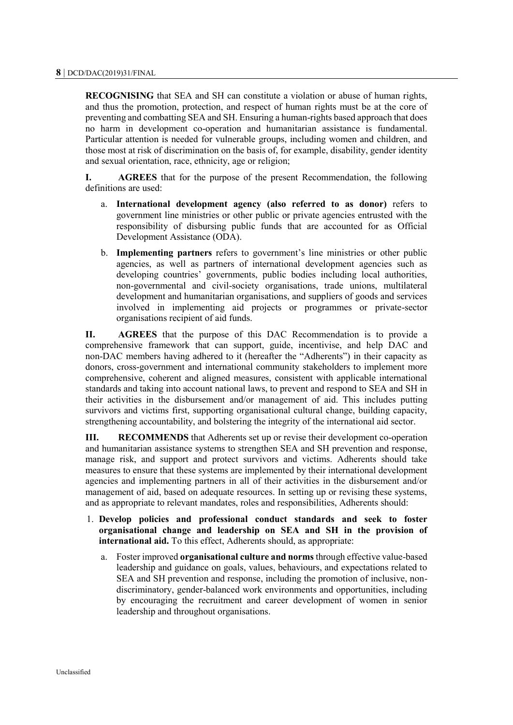**RECOGNISING** that SEA and SH can constitute a violation or abuse of human rights, and thus the promotion, protection, and respect of human rights must be at the core of preventing and combatting SEA and SH. Ensuring a human-rights based approach that does no harm in development co-operation and humanitarian assistance is fundamental. Particular attention is needed for vulnerable groups, including women and children, and those most at risk of discrimination on the basis of, for example, disability, gender identity and sexual orientation, race, ethnicity, age or religion;

**I. AGREES** that for the purpose of the present Recommendation, the following definitions are used:

- a. **International development agency (also referred to as donor)** refers to government line ministries or other public or private agencies entrusted with the responsibility of disbursing public funds that are accounted for as Official Development Assistance (ODA).
- b. **Implementing partners** refers to government's line ministries or other public agencies, as well as partners of international development agencies such as developing countries' governments, public bodies including local authorities, non-governmental and civil-society organisations, trade unions, multilateral development and humanitarian organisations, and suppliers of goods and services involved in implementing aid projects or programmes or private-sector organisations recipient of aid funds.

**II. AGREES** that the purpose of this DAC Recommendation is to provide a comprehensive framework that can support, guide, incentivise, and help DAC and non-DAC members having adhered to it (hereafter the "Adherents") in their capacity as donors, cross-government and international community stakeholders to implement more comprehensive, coherent and aligned measures, consistent with applicable international standards and taking into account national laws, to prevent and respond to SEA and SH in their activities in the disbursement and/or management of aid. This includes putting survivors and victims first, supporting organisational cultural change, building capacity, strengthening accountability, and bolstering the integrity of the international aid sector.

**III. RECOMMENDS** that Adherents set up or revise their development co-operation and humanitarian assistance systems to strengthen SEA and SH prevention and response, manage risk, and support and protect survivors and victims. Adherents should take measures to ensure that these systems are implemented by their international development agencies and implementing partners in all of their activities in the disbursement and/or management of aid, based on adequate resources. In setting up or revising these systems, and as appropriate to relevant mandates, roles and responsibilities, Adherents should:

- 1. **Develop policies and professional conduct standards and seek to foster organisational change and leadership on SEA and SH in the provision of international aid.** To this effect, Adherents should, as appropriate:
	- a. Foster improved **organisational culture and norms** through effective value-based leadership and guidance on goals, values, behaviours, and expectations related to SEA and SH prevention and response, including the promotion of inclusive, nondiscriminatory, gender-balanced work environments and opportunities, including by encouraging the recruitment and career development of women in senior leadership and throughout organisations.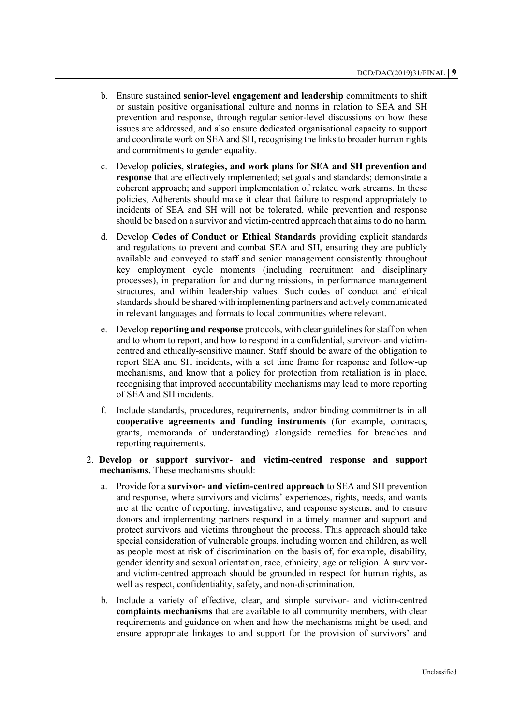- b. Ensure sustained **senior-level engagement and leadership** commitments to shift or sustain positive organisational culture and norms in relation to SEA and SH prevention and response, through regular senior-level discussions on how these issues are addressed, and also ensure dedicated organisational capacity to support and coordinate work on SEA and SH, recognising the links to broader human rights and commitments to gender equality.
- c. Develop **policies, strategies, and work plans for SEA and SH prevention and response** that are effectively implemented; set goals and standards; demonstrate a coherent approach; and support implementation of related work streams. In these policies, Adherents should make it clear that failure to respond appropriately to incidents of SEA and SH will not be tolerated, while prevention and response should be based on a survivor and victim-centred approach that aims to do no harm.
- d. Develop **Codes of Conduct or Ethical Standards** providing explicit standards and regulations to prevent and combat SEA and SH, ensuring they are publicly available and conveyed to staff and senior management consistently throughout key employment cycle moments (including recruitment and disciplinary processes), in preparation for and during missions, in performance management structures, and within leadership values. Such codes of conduct and ethical standards should be shared with implementing partners and actively communicated in relevant languages and formats to local communities where relevant.
- e. Develop **reporting and response** protocols, with clear guidelines for staff on when and to whom to report, and how to respond in a confidential, survivor- and victimcentred and ethically-sensitive manner. Staff should be aware of the obligation to report SEA and SH incidents, with a set time frame for response and follow-up mechanisms, and know that a policy for protection from retaliation is in place, recognising that improved accountability mechanisms may lead to more reporting of SEA and SH incidents.
- f. Include standards, procedures, requirements, and/or binding commitments in all **cooperative agreements and funding instruments** (for example, contracts, grants, memoranda of understanding) alongside remedies for breaches and reporting requirements.
- 2. **Develop or support survivor- and victim-centred response and support mechanisms.** These mechanisms should:
	- a. Provide for a **survivor- and victim-centred approach** to SEA and SH prevention and response, where survivors and victims' experiences, rights, needs, and wants are at the centre of reporting, investigative, and response systems, and to ensure donors and implementing partners respond in a timely manner and support and protect survivors and victims throughout the process. This approach should take special consideration of vulnerable groups, including women and children, as well as people most at risk of discrimination on the basis of, for example, disability, gender identity and sexual orientation, race, ethnicity, age or religion. A survivorand victim-centred approach should be grounded in respect for human rights, as well as respect, confidentiality, safety, and non-discrimination.
	- b. Include a variety of effective, clear, and simple survivor- and victim-centred **complaints mechanisms** that are available to all community members, with clear requirements and guidance on when and how the mechanisms might be used, and ensure appropriate linkages to and support for the provision of survivors' and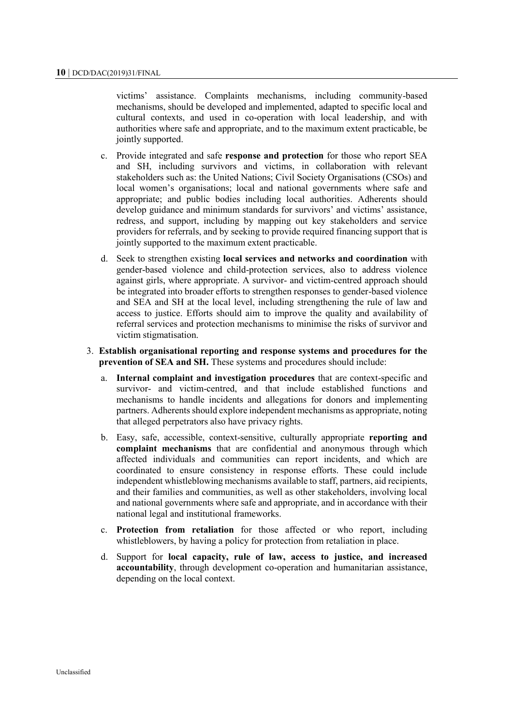victims' assistance. Complaints mechanisms, including community-based mechanisms, should be developed and implemented, adapted to specific local and cultural contexts, and used in co-operation with local leadership, and with authorities where safe and appropriate, and to the maximum extent practicable, be jointly supported.

- c. Provide integrated and safe **response and protection** for those who report SEA and SH, including survivors and victims, in collaboration with relevant stakeholders such as: the United Nations; Civil Society Organisations (CSOs) and local women's organisations; local and national governments where safe and appropriate; and public bodies including local authorities. Adherents should develop guidance and minimum standards for survivors' and victims' assistance, redress, and support, including by mapping out key stakeholders and service providers for referrals, and by seeking to provide required financing support that is jointly supported to the maximum extent practicable.
- d. Seek to strengthen existing **local services and networks and coordination** with gender-based violence and child-protection services, also to address violence against girls, where appropriate. A survivor- and victim-centred approach should be integrated into broader efforts to strengthen responses to gender-based violence and SEA and SH at the local level, including strengthening the rule of law and access to justice. Efforts should aim to improve the quality and availability of referral services and protection mechanisms to minimise the risks of survivor and victim stigmatisation.

#### 3. **Establish organisational reporting and response systems and procedures for the prevention of SEA and SH.** These systems and procedures should include:

- a. **Internal complaint and investigation procedures** that are context-specific and survivor- and victim-centred, and that include established functions and mechanisms to handle incidents and allegations for donors and implementing partners. Adherents should explore independent mechanisms as appropriate, noting that alleged perpetrators also have privacy rights.
- b. Easy, safe, accessible, context-sensitive, culturally appropriate **reporting and complaint mechanisms** that are confidential and anonymous through which affected individuals and communities can report incidents, and which are coordinated to ensure consistency in response efforts. These could include independent whistleblowing mechanisms available to staff, partners, aid recipients, and their families and communities, as well as other stakeholders, involving local and national governments where safe and appropriate, and in accordance with their national legal and institutional frameworks.
- c. **Protection from retaliation** for those affected or who report, including whistleblowers, by having a policy for protection from retaliation in place.
- d. Support for **local capacity, rule of law, access to justice, and increased accountability**, through development co-operation and humanitarian assistance, depending on the local context.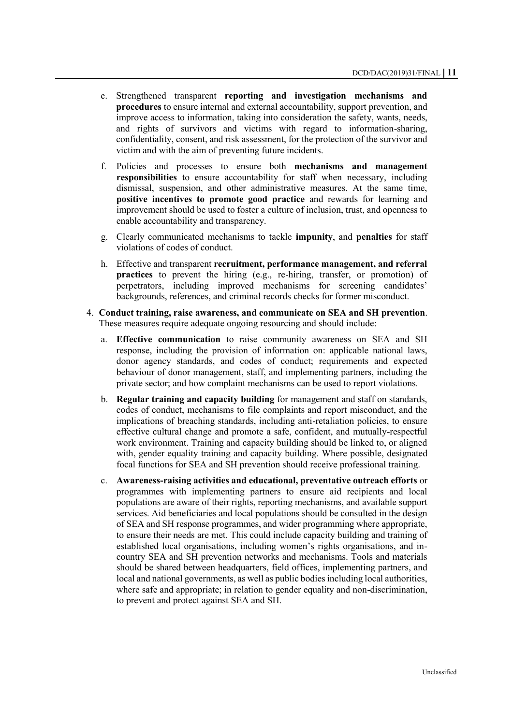- e. Strengthened transparent **reporting and investigation mechanisms and procedures** to ensure internal and external accountability, support prevention, and improve access to information, taking into consideration the safety, wants, needs, and rights of survivors and victims with regard to information-sharing, confidentiality, consent, and risk assessment, for the protection of the survivor and victim and with the aim of preventing future incidents.
- f. Policies and processes to ensure both **mechanisms and management responsibilities** to ensure accountability for staff when necessary, including dismissal, suspension, and other administrative measures. At the same time, **positive incentives to promote good practice** and rewards for learning and improvement should be used to foster a culture of inclusion, trust, and openness to enable accountability and transparency.
- g. Clearly communicated mechanisms to tackle **impunity**, and **penalties** for staff violations of codes of conduct.
- h. Effective and transparent **recruitment, performance management, and referral practices** to prevent the hiring (e.g., re-hiring, transfer, or promotion) of perpetrators, including improved mechanisms for screening candidates' backgrounds, references, and criminal records checks for former misconduct.
- 4. **Conduct training, raise awareness, and communicate on SEA and SH prevention**. These measures require adequate ongoing resourcing and should include:
	- a. **Effective communication** to raise community awareness on SEA and SH response, including the provision of information on: applicable national laws, donor agency standards, and codes of conduct; requirements and expected behaviour of donor management, staff, and implementing partners, including the private sector; and how complaint mechanisms can be used to report violations.
	- b. **Regular training and capacity building** for management and staff on standards, codes of conduct, mechanisms to file complaints and report misconduct, and the implications of breaching standards, including anti-retaliation policies, to ensure effective cultural change and promote a safe, confident, and mutually-respectful work environment. Training and capacity building should be linked to, or aligned with, gender equality training and capacity building. Where possible, designated focal functions for SEA and SH prevention should receive professional training.
	- c. **Awareness-raising activities and educational, preventative outreach efforts** or programmes with implementing partners to ensure aid recipients and local populations are aware of their rights, reporting mechanisms, and available support services. Aid beneficiaries and local populations should be consulted in the design of SEA and SH response programmes, and wider programming where appropriate, to ensure their needs are met. This could include capacity building and training of established local organisations, including women's rights organisations, and incountry SEA and SH prevention networks and mechanisms. Tools and materials should be shared between headquarters, field offices, implementing partners, and local and national governments, as well as public bodies including local authorities, where safe and appropriate; in relation to gender equality and non-discrimination, to prevent and protect against SEA and SH.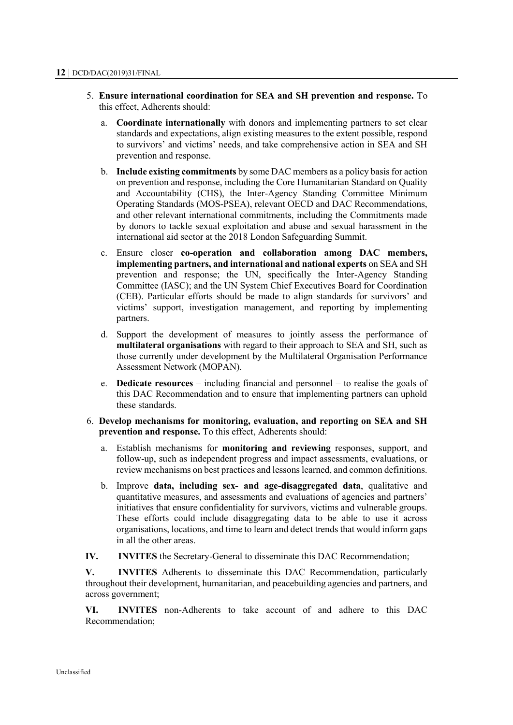- 5. **Ensure international coordination for SEA and SH prevention and response.** To this effect, Adherents should:
	- a. **Coordinate internationally** with donors and implementing partners to set clear standards and expectations, align existing measures to the extent possible, respond to survivors' and victims' needs, and take comprehensive action in SEA and SH prevention and response.
	- b. **Include existing commitments** by some DAC members as a policy basis for action on prevention and response, including the Core Humanitarian Standard on Quality and Accountability (CHS), the Inter-Agency Standing Committee Minimum Operating Standards (MOS-PSEA), relevant OECD and DAC Recommendations, and other relevant international commitments, including the Commitments made by donors to tackle sexual exploitation and abuse and sexual harassment in the international aid sector at the 2018 London Safeguarding Summit.
	- c. Ensure closer **co-operation and collaboration among DAC members, implementing partners, and international and national experts** on SEA and SH prevention and response; the UN, specifically the Inter-Agency Standing Committee (IASC); and the UN System Chief Executives Board for Coordination (CEB). Particular efforts should be made to align standards for survivors' and victims' support, investigation management, and reporting by implementing partners.
	- d. Support the development of measures to jointly assess the performance of **multilateral organisations** with regard to their approach to SEA and SH, such as those currently under development by the Multilateral Organisation Performance Assessment Network (MOPAN).
	- e. **Dedicate resources** including financial and personnel to realise the goals of this DAC Recommendation and to ensure that implementing partners can uphold these standards.
- 6. **Develop mechanisms for monitoring, evaluation, and reporting on SEA and SH prevention and response.** To this effect, Adherents should:
	- a. Establish mechanisms for **monitoring and reviewing** responses, support, and follow-up, such as independent progress and impact assessments, evaluations, or review mechanisms on best practices and lessons learned, and common definitions.
	- b. Improve **data, including sex- and age-disaggregated data**, qualitative and quantitative measures, and assessments and evaluations of agencies and partners' initiatives that ensure confidentiality for survivors, victims and vulnerable groups. These efforts could include disaggregating data to be able to use it across organisations, locations, and time to learn and detect trends that would inform gaps in all the other areas.
- **IV. INVITES** the Secretary-General to disseminate this DAC Recommendation;

**V. INVITES** Adherents to disseminate this DAC Recommendation, particularly throughout their development, humanitarian, and peacebuilding agencies and partners, and across government;

**VI. INVITES** non-Adherents to take account of and adhere to this DAC Recommendation;